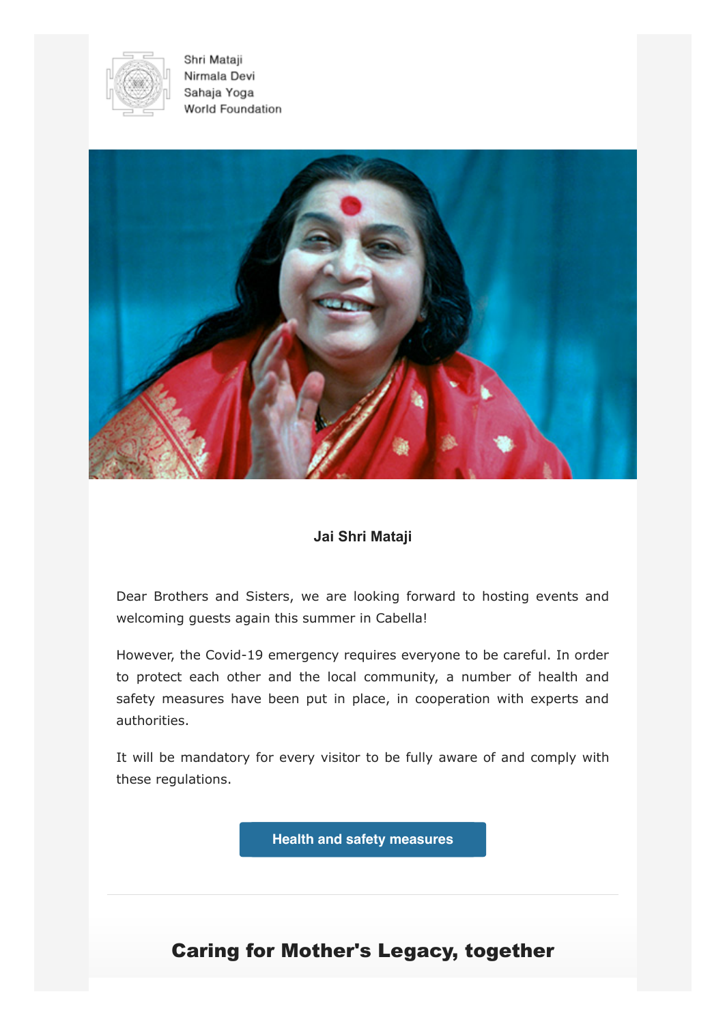

Shri Mataji Nirmala Devi Sahaja Yoga World Foundation



## **Jai Shri Mataji**

Dear Brothers and Sisters, we are looking forward to hosting events and welcoming guests again this summer in Cabella!

However, the Covid-19 emergency requires everyone to be careful. In order to protect each other and the local community, a number of health and safety measures have been put in place, in cooperation with experts and authorities.

It will be mandatory for every visitor to be fully aware of and comply with these regulations.

**[Health and safety measures](https://casamadre.eu/en/health-and-safety-measures)**

## Caring for Mother's Legacy, together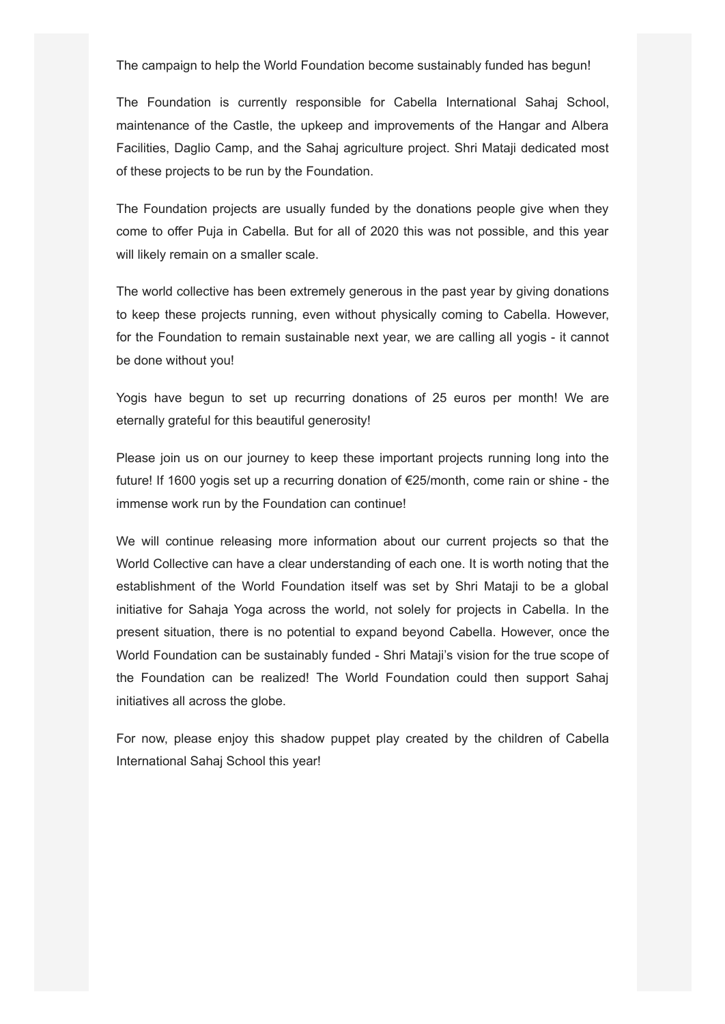The campaign to help the World Foundation become sustainably funded has begun!

The Foundation is currently responsible for Cabella International Sahaj School, maintenance of the Castle, the upkeep and improvements of the Hangar and Albera Facilities, Daglio Camp, and the Sahaj agriculture project. Shri Mataji dedicated most of these projects to be run by the Foundation.

The Foundation projects are usually funded by the donations people give when they come to offer Puja in Cabella. But for all of 2020 this was not possible, and this year will likely remain on a smaller scale.

The world collective has been extremely generous in the past year by giving donations to keep these projects running, even without physically coming to Cabella. However, for the Foundation to remain sustainable next year, we are calling all yogis - it cannot be done without you!

Yogis have begun to set up recurring donations of 25 euros per month! We are eternally grateful for this beautiful generosity!

Please join us on our journey to keep these important projects running long into the future! If 1600 yogis set up a recurring donation of €25/month, come rain or shine - the immense work run by the Foundation can continue!

We will continue releasing more information about our current projects so that the World Collective can have a clear understanding of each one. It is worth noting that the establishment of the World Foundation itself was set by Shri Mataji to be a global initiative for Sahaja Yoga across the world, not solely for projects in Cabella. In the present situation, there is no potential to expand beyond Cabella. However, once the World Foundation can be sustainably funded - Shri Mataji's vision for the true scope of the Foundation can be realized! The World Foundation could then support Sahaj initiatives all across the globe.

For now, please enjoy this shadow puppet play created by the children of Cabella International Sahaj School this year!